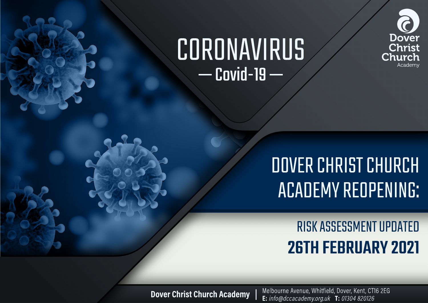# CORONAVIRUS  $-$  Covid-19  $-$



## **DOVER CHRIST CHURCH ACADEMY REOPENING:**

**RISK ASSESSMENT UPDATED 26TH FEBRUARY 2021** 

**Dover Christ Church Academy** 

Melbourne Avenue, Whitfield, Dover, Kent, CT16 2EG **E:** info@dccacademy.org.uk **T:** 01304 820126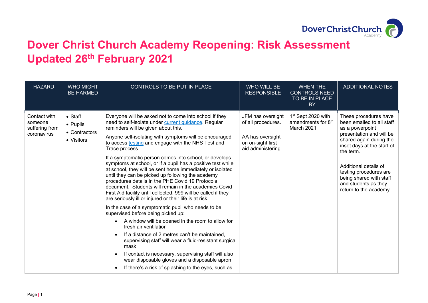

## **Dover Christ Church Academy Reopening: Risk Assessment Updated 26th February 2021**

| <b>HAZARD</b>                                            | <b>WHO MIGHT</b><br><b>BE HARMED</b>                       | CONTROLS TO BE PUT IN PLACE                                                                                                                                                                                                                                                                                                                                                                                                                                                                                                                                                                                                                                                                                                                                                                                                                                                                                                                                                                                                                                                                                                                                                                                                              | WHO WILL BE<br><b>RESPONSIBLE</b>                                                                      | <b>WHEN THE</b><br><b>CONTROLS NEED</b><br>TO BE IN PLACE<br><b>BY</b>         | <b>ADDITIONAL NOTES</b>                                                                                                                                                                                                                                                                                |
|----------------------------------------------------------|------------------------------------------------------------|------------------------------------------------------------------------------------------------------------------------------------------------------------------------------------------------------------------------------------------------------------------------------------------------------------------------------------------------------------------------------------------------------------------------------------------------------------------------------------------------------------------------------------------------------------------------------------------------------------------------------------------------------------------------------------------------------------------------------------------------------------------------------------------------------------------------------------------------------------------------------------------------------------------------------------------------------------------------------------------------------------------------------------------------------------------------------------------------------------------------------------------------------------------------------------------------------------------------------------------|--------------------------------------------------------------------------------------------------------|--------------------------------------------------------------------------------|--------------------------------------------------------------------------------------------------------------------------------------------------------------------------------------------------------------------------------------------------------------------------------------------------------|
| Contact with<br>someone<br>suffering from<br>coronavirus | $\bullet$ Staff<br>• Pupils<br>• Contractors<br>• Visitors | Everyone will be asked not to come into school if they<br>need to self-isolate under current guidance. Regular<br>reminders will be given about this.<br>Anyone self-isolating with symptoms will be encouraged<br>to access testing and engage with the NHS Test and<br>Trace process.<br>If a symptomatic person comes into school, or develops<br>symptoms at school, or if a pupil has a positive test while<br>at school, they will be sent home immediately or isolated<br>until they can be picked up following the academy<br>procedures details in the PHE Covid 19 Protocols<br>document. Students will remain in the academies Covid<br>First Aid facility until collected. 999 will be called if they<br>are seriously ill or injured or their life is at risk.<br>In the case of a symptomatic pupil who needs to be<br>supervised before being picked up:<br>A window will be opened in the room to allow for<br>fresh air ventilation<br>If a distance of 2 metres can't be maintained,<br>supervising staff will wear a fluid-resistant surgical<br>mask<br>If contact is necessary, supervising staff will also<br>wear disposable gloves and a disposable apron<br>If there's a risk of splashing to the eyes, such as | JFM has oversight<br>of all procedures.<br>AA has oversight<br>on on-sight first<br>aid administering. | 1 <sup>st</sup> Sept 2020 with<br>amendments for 8 <sup>th</sup><br>March 2021 | These procedures have<br>been emailed to all staff<br>as a powerpoint<br>presentation and will be<br>shared again during the<br>inset days at the start of<br>the term.<br>Additional details of<br>testing procedures are<br>being shared with staff<br>and students as they<br>return to the academy |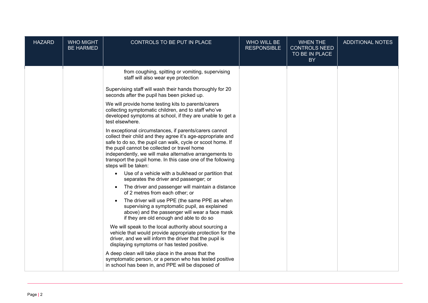| <b>HAZARD</b> | <b>WHO MIGHT</b><br><b>BE HARMED</b> | CONTROLS TO BE PUT IN PLACE                                                                                                                                                                                                                                                                                                                                                           | WHO WILL BE<br><b>RESPONSIBLE</b> | <b>WHEN THE</b><br><b>CONTROLS NEED</b><br>TO BE IN PLACE<br><b>BY</b> | <b>ADDITIONAL NOTES</b> |
|---------------|--------------------------------------|---------------------------------------------------------------------------------------------------------------------------------------------------------------------------------------------------------------------------------------------------------------------------------------------------------------------------------------------------------------------------------------|-----------------------------------|------------------------------------------------------------------------|-------------------------|
|               |                                      | from coughing, spitting or vomiting, supervising<br>staff will also wear eye protection                                                                                                                                                                                                                                                                                               |                                   |                                                                        |                         |
|               |                                      | Supervising staff will wash their hands thoroughly for 20<br>seconds after the pupil has been picked up.                                                                                                                                                                                                                                                                              |                                   |                                                                        |                         |
|               |                                      | We will provide home testing kits to parents/carers<br>collecting symptomatic children, and to staff who've<br>developed symptoms at school, if they are unable to get a<br>test elsewhere.                                                                                                                                                                                           |                                   |                                                                        |                         |
|               |                                      | In exceptional circumstances, if parents/carers cannot<br>collect their child and they agree it's age-appropriate and<br>safe to do so, the pupil can walk, cycle or scoot home. If<br>the pupil cannot be collected or travel home<br>independently, we will make alternative arrangements to<br>transport the pupil home. In this case one of the following<br>steps will be taken: |                                   |                                                                        |                         |
|               |                                      | Use of a vehicle with a bulkhead or partition that<br>$\bullet$<br>separates the driver and passenger; or                                                                                                                                                                                                                                                                             |                                   |                                                                        |                         |
|               |                                      | The driver and passenger will maintain a distance<br>of 2 metres from each other; or                                                                                                                                                                                                                                                                                                  |                                   |                                                                        |                         |
|               |                                      | The driver will use PPE (the same PPE as when<br>supervising a symptomatic pupil, as explained<br>above) and the passenger will wear a face mask<br>if they are old enough and able to do so                                                                                                                                                                                          |                                   |                                                                        |                         |
|               |                                      | We will speak to the local authority about sourcing a<br>vehicle that would provide appropriate protection for the<br>driver, and we will inform the driver that the pupil is<br>displaying symptoms or has tested positive.                                                                                                                                                          |                                   |                                                                        |                         |
|               |                                      | A deep clean will take place in the areas that the<br>symptomatic person, or a person who has tested positive<br>in school has been in, and PPE will be disposed of                                                                                                                                                                                                                   |                                   |                                                                        |                         |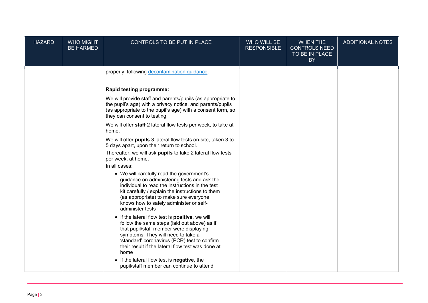| <b>HAZARD</b> | <b>WHO MIGHT</b><br><b>BE HARMED</b> | CONTROLS TO BE PUT IN PLACE                                                                                                                                                                                                                                                                              | WHO WILL BE<br><b>RESPONSIBLE</b> | <b>WHEN THE</b><br><b>CONTROLS NEED</b><br>TO BE IN PLACE<br><b>BY</b> | <b>ADDITIONAL NOTES</b> |
|---------------|--------------------------------------|----------------------------------------------------------------------------------------------------------------------------------------------------------------------------------------------------------------------------------------------------------------------------------------------------------|-----------------------------------|------------------------------------------------------------------------|-------------------------|
|               |                                      | properly, following decontamination guidance.                                                                                                                                                                                                                                                            |                                   |                                                                        |                         |
|               |                                      | Rapid testing programme:                                                                                                                                                                                                                                                                                 |                                   |                                                                        |                         |
|               |                                      | We will provide staff and parents/pupils (as appropriate to<br>the pupil's age) with a privacy notice, and parents/pupils<br>(as appropriate to the pupil's age) with a consent form, so<br>they can consent to testing.                                                                                 |                                   |                                                                        |                         |
|               |                                      | We will offer staff 2 lateral flow tests per week, to take at<br>home.                                                                                                                                                                                                                                   |                                   |                                                                        |                         |
|               |                                      | We will offer pupils 3 lateral flow tests on-site, taken 3 to<br>5 days apart, upon their return to school.                                                                                                                                                                                              |                                   |                                                                        |                         |
|               |                                      | Thereafter, we will ask pupils to take 2 lateral flow tests<br>per week, at home.                                                                                                                                                                                                                        |                                   |                                                                        |                         |
|               |                                      | In all cases:                                                                                                                                                                                                                                                                                            |                                   |                                                                        |                         |
|               |                                      | • We will carefully read the government's<br>guidance on administering tests and ask the<br>individual to read the instructions in the test<br>kit carefully / explain the instructions to them<br>(as appropriate) to make sure everyone<br>knows how to safely administer or self-<br>administer tests |                                   |                                                                        |                         |
|               |                                      | • If the lateral flow test is positive, we will<br>follow the same steps (laid out above) as if<br>that pupil/staff member were displaying<br>symptoms. They will need to take a<br>'standard' coronavirus (PCR) test to confirm<br>their result if the lateral flow test was done at<br>home            |                                   |                                                                        |                         |
|               |                                      | • If the lateral flow test is negative, the<br>pupil/staff member can continue to attend                                                                                                                                                                                                                 |                                   |                                                                        |                         |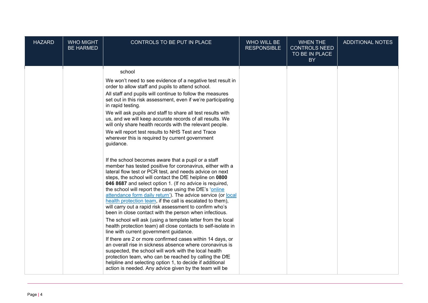| <b>HAZARD</b> | <b>WHO MIGHT</b><br><b>BE HARMED</b> | CONTROLS TO BE PUT IN PLACE                                                                                                                                                                                                                                                                                                                                                                                                                                                                                                                                                                                                                                                                                                                                                                                                                                                                                                                                                                                                                                                                                                                                                                                                                                                                                                                                                                                                                                                                                                                                                                                                                                                                                                                             | WHO WILL BE<br><b>RESPONSIBLE</b> | <b>WHEN THE</b><br><b>CONTROLS NEED</b><br>TO BE IN PLACE<br>BY | <b>ADDITIONAL NOTES</b> |
|---------------|--------------------------------------|---------------------------------------------------------------------------------------------------------------------------------------------------------------------------------------------------------------------------------------------------------------------------------------------------------------------------------------------------------------------------------------------------------------------------------------------------------------------------------------------------------------------------------------------------------------------------------------------------------------------------------------------------------------------------------------------------------------------------------------------------------------------------------------------------------------------------------------------------------------------------------------------------------------------------------------------------------------------------------------------------------------------------------------------------------------------------------------------------------------------------------------------------------------------------------------------------------------------------------------------------------------------------------------------------------------------------------------------------------------------------------------------------------------------------------------------------------------------------------------------------------------------------------------------------------------------------------------------------------------------------------------------------------------------------------------------------------------------------------------------------------|-----------------------------------|-----------------------------------------------------------------|-------------------------|
|               |                                      | school<br>We won't need to see evidence of a negative test result in<br>order to allow staff and pupils to attend school.<br>All staff and pupils will continue to follow the measures<br>set out in this risk assessment, even if we're participating<br>in rapid testing.<br>We will ask pupils and staff to share all test results with<br>us, and we will keep accurate records of all results. We<br>will only share health records with the relevant people.<br>We will report test results to NHS Test and Trace<br>wherever this is required by current government<br>guidance.<br>If the school becomes aware that a pupil or a staff<br>member has tested positive for coronavirus, either with a<br>lateral flow test or PCR test, and needs advice on next<br>steps, the school will contact the DfE helpline on 0800<br>046 8687 and select option 1. (If no advice is required,<br>the school will report the case using the DfE's 'online<br>attendance form daily return'). The advice service (or local<br>health protection team, if the call is escalated to them),<br>will carry out a rapid risk assessment to confirm who's<br>been in close contact with the person when infectious.<br>The school will ask (using a template letter from the local<br>health protection team) all close contacts to self-isolate in<br>line with current government guidance.<br>If there are 2 or more confirmed cases within 14 days, or<br>an overall rise in sickness absence where coronavirus is<br>suspected, the school will work with the local health<br>protection team, who can be reached by calling the DfE<br>helpline and selecting option 1, to decide if additional<br>action is needed. Any advice given by the team will be |                                   |                                                                 |                         |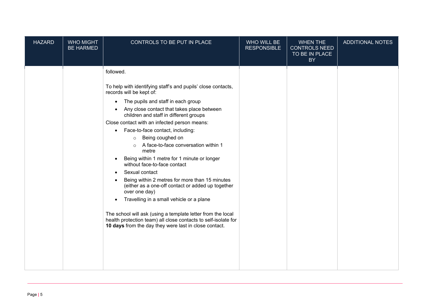| <b>HAZARD</b> | <b>WHO MIGHT</b><br><b>BE HARMED</b> | CONTROLS TO BE PUT IN PLACE                                                                                                                                                                                                                                                                                                                                                                                                                                                                                                                                                                                                                                                                                                                                                                                                                                                                                              | WHO WILL BE<br><b>RESPONSIBLE</b> | <b>WHEN THE</b><br><b>CONTROLS NEED</b><br>TO BE IN PLACE<br>BY | <b>ADDITIONAL NOTES</b> |
|---------------|--------------------------------------|--------------------------------------------------------------------------------------------------------------------------------------------------------------------------------------------------------------------------------------------------------------------------------------------------------------------------------------------------------------------------------------------------------------------------------------------------------------------------------------------------------------------------------------------------------------------------------------------------------------------------------------------------------------------------------------------------------------------------------------------------------------------------------------------------------------------------------------------------------------------------------------------------------------------------|-----------------------------------|-----------------------------------------------------------------|-------------------------|
|               |                                      | followed.<br>To help with identifying staff's and pupils' close contacts,<br>records will be kept of:<br>The pupils and staff in each group<br>$\bullet$<br>Any close contact that takes place between<br>children and staff in different groups<br>Close contact with an infected person means:<br>Face-to-face contact, including:<br>$\bullet$<br>Being coughed on<br>$\circ$<br>A face-to-face conversation within 1<br>$\circ$<br>metre<br>Being within 1 metre for 1 minute or longer<br>without face-to-face contact<br>Sexual contact<br>$\bullet$<br>Being within 2 metres for more than 15 minutes<br>(either as a one-off contact or added up together<br>over one day)<br>Travelling in a small vehicle or a plane<br>The school will ask (using a template letter from the local<br>health protection team) all close contacts to self-isolate for<br>10 days from the day they were last in close contact. |                                   |                                                                 |                         |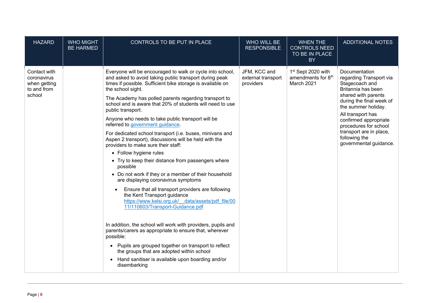| <b>HAZARD</b>                                                        | <b>WHO MIGHT</b><br><b>BE HARMED</b> | CONTROLS TO BE PUT IN PLACE                                                                                                                                                                                                                                                                                                                                                                                                                                                                                                                                                                                                                                                                                                                                                                                                                                                                                                                                                                                                                                                                                                                                                                                                                                                                                             | WHO WILL BE<br><b>RESPONSIBLE</b>               | <b>WHEN THE</b><br><b>CONTROLS NEED</b><br>TO BE IN PLACE<br><b>BY</b>         | <b>ADDITIONAL NOTES</b>                                                                                                                                                                                                                                                                                 |
|----------------------------------------------------------------------|--------------------------------------|-------------------------------------------------------------------------------------------------------------------------------------------------------------------------------------------------------------------------------------------------------------------------------------------------------------------------------------------------------------------------------------------------------------------------------------------------------------------------------------------------------------------------------------------------------------------------------------------------------------------------------------------------------------------------------------------------------------------------------------------------------------------------------------------------------------------------------------------------------------------------------------------------------------------------------------------------------------------------------------------------------------------------------------------------------------------------------------------------------------------------------------------------------------------------------------------------------------------------------------------------------------------------------------------------------------------------|-------------------------------------------------|--------------------------------------------------------------------------------|---------------------------------------------------------------------------------------------------------------------------------------------------------------------------------------------------------------------------------------------------------------------------------------------------------|
| Contact with<br>coronavirus<br>when getting<br>to and from<br>school |                                      | Everyone will be encouraged to walk or cycle into school,<br>and asked to avoid taking public transport during peak<br>times if possible. Sufficient bike storage is available on<br>the school sight.<br>The Academy has polled parents regarding transport to<br>school and is aware that 20% of students will need to use<br>public transport.<br>Anyone who needs to take public transport will be<br>referred to government guidance.<br>For dedicated school transport (i.e. buses, minivans and<br>Aspen 2 transport), discussions will be held with the<br>providers to make sure their staff:<br>• Follow hygiene rules<br>• Try to keep their distance from passengers where<br>possible<br>• Do not work if they or a member of their household<br>are displaying coronavirus symptoms<br>Ensure that all transport providers are following<br>the Kent Transport guidance<br>https://www.kelsi.org.uk/ data/assets/pdf file/00<br>11/110603/Transport-Guidance.pdf<br>In addition, the school will work with providers, pupils and<br>parents/carers as appropriate to ensure that, wherever<br>possible:<br>Pupils are grouped together on transport to reflect<br>$\bullet$<br>the groups that are adopted within school<br>Hand sanitiser is available upon boarding and/or<br>$\bullet$<br>disembarking | JFM, KCC and<br>external transport<br>providers | 1 <sup>st</sup> Sept 2020 with<br>amendments for 8 <sup>th</sup><br>March 2021 | Documentation<br>regarding Transport via<br>Stagecoach and<br>Britannia has been<br>shared with parents<br>during the final week of<br>the summer holiday.<br>All transport has<br>confirmed appropriate<br>procedures for school<br>transport are in place,<br>following the<br>governmental guidance. |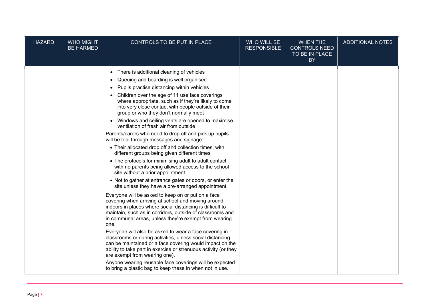| <b>HAZARD</b> | <b>WHO MIGHT</b><br><b>BE HARMED</b> | CONTROLS TO BE PUT IN PLACE                                                                                                                                                                                                                                                                                                                                                                                                                                                                                                                                                                                                                                                                                                                                                                                                                                                                                                                                                                                                                                                                                                                                                                                                                                                                                                                                                                                                                                                                                                                                                                                                                                                                               | WHO WILL BE<br><b>RESPONSIBLE</b> | <b>WHEN THE</b><br><b>CONTROLS NEED</b><br>TO BE IN PLACE<br>BY | <b>ADDITIONAL NOTES</b> |
|---------------|--------------------------------------|-----------------------------------------------------------------------------------------------------------------------------------------------------------------------------------------------------------------------------------------------------------------------------------------------------------------------------------------------------------------------------------------------------------------------------------------------------------------------------------------------------------------------------------------------------------------------------------------------------------------------------------------------------------------------------------------------------------------------------------------------------------------------------------------------------------------------------------------------------------------------------------------------------------------------------------------------------------------------------------------------------------------------------------------------------------------------------------------------------------------------------------------------------------------------------------------------------------------------------------------------------------------------------------------------------------------------------------------------------------------------------------------------------------------------------------------------------------------------------------------------------------------------------------------------------------------------------------------------------------------------------------------------------------------------------------------------------------|-----------------------------------|-----------------------------------------------------------------|-------------------------|
|               |                                      | There is additional cleaning of vehicles<br>$\bullet$<br>Queuing and boarding is well organised<br>$\bullet$<br>Pupils practise distancing within vehicles<br>$\bullet$<br>• Children over the age of 11 use face coverings<br>where appropriate, such as if they're likely to come<br>into very close contact with people outside of their<br>group or who they don't normally meet<br>Windows and ceiling vents are opened to maximise<br>$\bullet$<br>ventilation of fresh air from outside<br>Parents/carers who need to drop off and pick up pupils<br>will be told through messages and signage:<br>• Their allocated drop off and collection times, with<br>different groups being given different times<br>• The protocols for minimising adult to adult contact<br>with no parents being allowed access to the school<br>site without a prior appointment.<br>• Not to gather at entrance gates or doors, or enter the<br>site unless they have a pre-arranged appointment.<br>Everyone will be asked to keep on or put on a face<br>covering when arriving at school and moving around<br>indoors in places where social distancing is difficult to<br>maintain, such as in corridors, outside of classrooms and<br>in communal areas, unless they're exempt from wearing<br>one.<br>Everyone will also be asked to wear a face covering in<br>classrooms or during activities, unless social distancing<br>can be maintained or a face covering would impact on the<br>ability to take part in exercise or strenuous activity (or they<br>are exempt from wearing one).<br>Anyone wearing reusable face coverings will be expected<br>to bring a plastic bag to keep these in when not in use. |                                   |                                                                 |                         |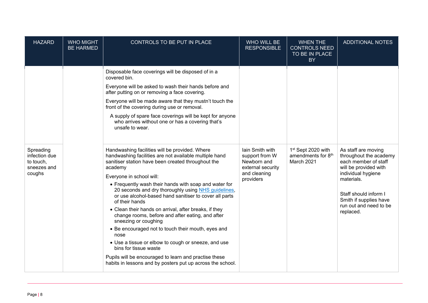| <b>HAZARD</b>                                                    | <b>WHO MIGHT</b><br><b>BE HARMED</b> | CONTROLS TO BE PUT IN PLACE                                                                                                                                                                                                                                                                                                                                                                                                                                                                                                                                                                                                                                                                                                                                                                                 | WHO WILL BE<br><b>RESPONSIBLE</b>                                                                  | <b>WHEN THE</b><br><b>CONTROLS NEED</b><br>TO BE IN PLACE<br><b>BY</b>         | <b>ADDITIONAL NOTES</b>                                                                                                                                                                                                      |
|------------------------------------------------------------------|--------------------------------------|-------------------------------------------------------------------------------------------------------------------------------------------------------------------------------------------------------------------------------------------------------------------------------------------------------------------------------------------------------------------------------------------------------------------------------------------------------------------------------------------------------------------------------------------------------------------------------------------------------------------------------------------------------------------------------------------------------------------------------------------------------------------------------------------------------------|----------------------------------------------------------------------------------------------------|--------------------------------------------------------------------------------|------------------------------------------------------------------------------------------------------------------------------------------------------------------------------------------------------------------------------|
|                                                                  |                                      | Disposable face coverings will be disposed of in a<br>covered bin.<br>Everyone will be asked to wash their hands before and<br>after putting on or removing a face covering.<br>Everyone will be made aware that they mustn't touch the<br>front of the covering during use or removal.<br>A supply of spare face coverings will be kept for anyone<br>who arrives without one or has a covering that's<br>unsafe to wear.                                                                                                                                                                                                                                                                                                                                                                                  |                                                                                                    |                                                                                |                                                                                                                                                                                                                              |
| Spreading<br>infection due<br>to touch,<br>sneezes and<br>coughs |                                      | Handwashing facilities will be provided. Where<br>handwashing facilities are not available multiple hand<br>sanitiser station have been created throughout the<br>academy<br>Everyone in school will:<br>• Frequently wash their hands with soap and water for<br>20 seconds and dry thoroughly using NHS guidelines,<br>or use alcohol-based hand sanitiser to cover all parts<br>of their hands<br>• Clean their hands on arrival, after breaks, if they<br>change rooms, before and after eating, and after<br>sneezing or coughing<br>• Be encouraged not to touch their mouth, eyes and<br>nose<br>• Use a tissue or elbow to cough or sneeze, and use<br>bins for tissue waste<br>Pupils will be encouraged to learn and practise these<br>habits in lessons and by posters put up across the school. | Iain Smith with<br>support from W<br>Newborn and<br>external security<br>and cleaning<br>providers | 1 <sup>st</sup> Sept 2020 with<br>amendments for 8 <sup>th</sup><br>March 2021 | As staff are moving<br>throughout the academy<br>each member of staff<br>will be provided with<br>individual hygiene<br>materials.<br>Staff should inform I<br>Smith if supplies have<br>run out and need to be<br>replaced. |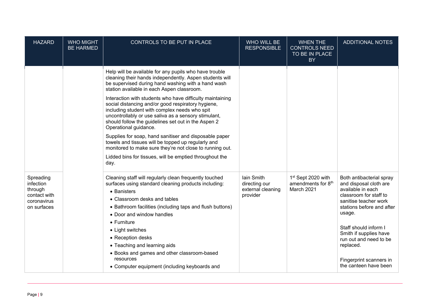| <b>HAZARD</b>                                                                   | <b>WHO MIGHT</b><br><b>BE HARMED</b> | CONTROLS TO BE PUT IN PLACE                                                                                                                                                                                                                                                                                                                                                                                                                                                                                                       | WHO WILL BE<br><b>RESPONSIBLE</b>                            | <b>WHEN THE</b><br><b>CONTROLS NEED</b><br>TO BE IN PLACE<br><b>BY</b>         | <b>ADDITIONAL NOTES</b>                                                                                                                                                                                                                                                                                         |
|---------------------------------------------------------------------------------|--------------------------------------|-----------------------------------------------------------------------------------------------------------------------------------------------------------------------------------------------------------------------------------------------------------------------------------------------------------------------------------------------------------------------------------------------------------------------------------------------------------------------------------------------------------------------------------|--------------------------------------------------------------|--------------------------------------------------------------------------------|-----------------------------------------------------------------------------------------------------------------------------------------------------------------------------------------------------------------------------------------------------------------------------------------------------------------|
|                                                                                 |                                      | Help will be available for any pupils who have trouble<br>cleaning their hands independently. Aspen students will<br>be supervised during hand washing with a hand wash<br>station available in each Aspen classroom.<br>Interaction with students who have difficulty maintaining<br>social distancing and/or good respiratory hygiene,<br>including student with complex needs who spit<br>uncontrollably or use saliva as a sensory stimulant,<br>should follow the guidelines set out in the Aspen 2<br>Operational guidance. |                                                              |                                                                                |                                                                                                                                                                                                                                                                                                                 |
|                                                                                 |                                      | Supplies for soap, hand sanitiser and disposable paper<br>towels and tissues will be topped up regularly and<br>monitored to make sure they're not close to running out.<br>Lidded bins for tissues, will be emptied throughout the<br>day.                                                                                                                                                                                                                                                                                       |                                                              |                                                                                |                                                                                                                                                                                                                                                                                                                 |
| Spreading<br>infection<br>through<br>contact with<br>coronavirus<br>on surfaces |                                      | Cleaning staff will regularly clean frequently touched<br>surfaces using standard cleaning products including:<br>• Banisters<br>• Classroom desks and tables<br>• Bathroom facilities (including taps and flush buttons)<br>• Door and window handles<br>$\bullet$ Furniture<br>• Light switches<br>• Reception desks<br>• Teaching and learning aids<br>• Books and games and other classroom-based<br>resources<br>• Computer equipment (including keyboards and                                                               | lain Smith<br>directing our<br>external cleaning<br>provider | 1 <sup>st</sup> Sept 2020 with<br>amendments for 8 <sup>th</sup><br>March 2021 | Both antibacterial spray<br>and disposal cloth are<br>available in each<br>classroom for staff to<br>sanitise teacher work<br>stations before and after<br>usage.<br>Staff should inform I<br>Smith if supplies have<br>run out and need to be<br>replaced.<br>Fingerprint scanners in<br>the canteen have been |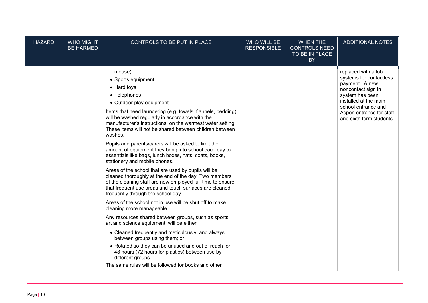| <b>HAZARD</b> | <b>WHO MIGHT</b><br><b>BE HARMED</b> | CONTROLS TO BE PUT IN PLACE                                                                                                                                                                                                                                                                                                                                                                                                                                                                                                                                                                                                                                                                                                                                                                                                                                                                                                                                                                                                                                                                                                                                                                                                                                                                                        | WHO WILL BE<br><b>RESPONSIBLE</b> | <b>WHEN THE</b><br><b>CONTROLS NEED</b><br>TO BE IN PLACE<br><b>BY</b> | <b>ADDITIONAL NOTES</b>                                                                                                                                                                                          |
|---------------|--------------------------------------|--------------------------------------------------------------------------------------------------------------------------------------------------------------------------------------------------------------------------------------------------------------------------------------------------------------------------------------------------------------------------------------------------------------------------------------------------------------------------------------------------------------------------------------------------------------------------------------------------------------------------------------------------------------------------------------------------------------------------------------------------------------------------------------------------------------------------------------------------------------------------------------------------------------------------------------------------------------------------------------------------------------------------------------------------------------------------------------------------------------------------------------------------------------------------------------------------------------------------------------------------------------------------------------------------------------------|-----------------------------------|------------------------------------------------------------------------|------------------------------------------------------------------------------------------------------------------------------------------------------------------------------------------------------------------|
|               |                                      | mouse)<br>• Sports equipment<br>• Hard toys<br>• Telephones<br>• Outdoor play equipment<br>Items that need laundering (e.g. towels, flannels, bedding)<br>will be washed regularly in accordance with the<br>manufacturer's instructions, on the warmest water setting.<br>These items will not be shared between children between<br>washes.<br>Pupils and parents/carers will be asked to limit the<br>amount of equipment they bring into school each day to<br>essentials like bags, lunch boxes, hats, coats, books,<br>stationery and mobile phones.<br>Areas of the school that are used by pupils will be<br>cleaned thoroughly at the end of the day. Two members<br>of the cleaning staff are now employed full time to ensure<br>that frequent use areas and touch surfaces are cleaned<br>frequently through the school day.<br>Areas of the school not in use will be shut off to make<br>cleaning more manageable.<br>Any resources shared between groups, such as sports,<br>art and science equipment, will be either:<br>• Cleaned frequently and meticulously, and always<br>between groups using them; or<br>• Rotated so they can be unused and out of reach for<br>48 hours (72 hours for plastics) between use by<br>different groups<br>The same rules will be followed for books and other |                                   |                                                                        | replaced with a fob<br>systems for contactless<br>payment. A new<br>noncontact sign in<br>system has been<br>installed at the main<br>school entrance and<br>Aspen entrance for staff<br>and sixth form students |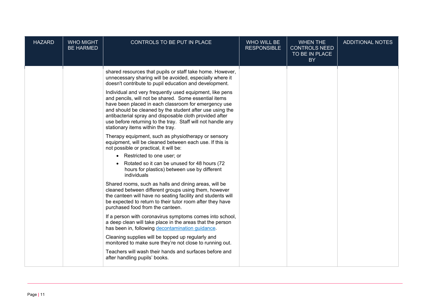| <b>HAZARD</b> | <b>WHO MIGHT</b><br><b>BE HARMED</b> | CONTROLS TO BE PUT IN PLACE                                                                                                                                                                                                                                                                                                                                                                          | WHO WILL BE<br><b>RESPONSIBLE</b> | <b>WHEN THE</b><br><b>CONTROLS NEED</b><br>TO BE IN PLACE<br>BY | <b>ADDITIONAL NOTES</b> |
|---------------|--------------------------------------|------------------------------------------------------------------------------------------------------------------------------------------------------------------------------------------------------------------------------------------------------------------------------------------------------------------------------------------------------------------------------------------------------|-----------------------------------|-----------------------------------------------------------------|-------------------------|
|               |                                      | shared resources that pupils or staff take home. However,<br>unnecessary sharing will be avoided, especially where it<br>doesn't contribute to pupil education and development.                                                                                                                                                                                                                      |                                   |                                                                 |                         |
|               |                                      | Individual and very frequently used equipment, like pens<br>and pencils, will not be shared. Some essential items<br>have been placed in each classroom for emergency use<br>and should be cleaned by the student after use using the<br>antibacterial spray and disposable cloth provided after<br>use before returning to the tray. Staff will not handle any<br>stationary items within the tray. |                                   |                                                                 |                         |
|               |                                      | Therapy equipment, such as physiotherapy or sensory<br>equipment, will be cleaned between each use. If this is<br>not possible or practical, it will be:                                                                                                                                                                                                                                             |                                   |                                                                 |                         |
|               |                                      | • Restricted to one user; or                                                                                                                                                                                                                                                                                                                                                                         |                                   |                                                                 |                         |
|               |                                      | Rotated so it can be unused for 48 hours (72<br>hours for plastics) between use by different<br>individuals                                                                                                                                                                                                                                                                                          |                                   |                                                                 |                         |
|               |                                      | Shared rooms, such as halls and dining areas, will be<br>cleaned between different groups using them, however<br>the canteen will have no seating facility and students will<br>be expected to return to their tutor room after they have<br>purchased food from the canteen.                                                                                                                        |                                   |                                                                 |                         |
|               |                                      | If a person with coronavirus symptoms comes into school,<br>a deep clean will take place in the areas that the person<br>has been in, following decontamination guidance.                                                                                                                                                                                                                            |                                   |                                                                 |                         |
|               |                                      | Cleaning supplies will be topped up regularly and<br>monitored to make sure they're not close to running out.                                                                                                                                                                                                                                                                                        |                                   |                                                                 |                         |
|               |                                      | Teachers will wash their hands and surfaces before and<br>after handling pupils' books.                                                                                                                                                                                                                                                                                                              |                                   |                                                                 |                         |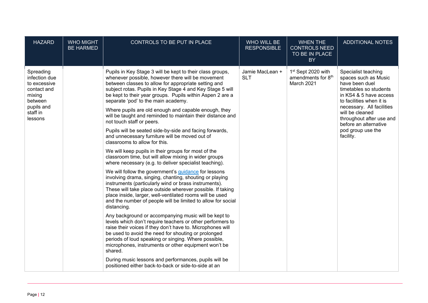| <b>HAZARD</b>                                                                                                       | <b>WHO MIGHT</b><br><b>BE HARMED</b> | CONTROLS TO BE PUT IN PLACE                                                                                                                                                                                                                                                                                                                                                                                                                                                                                                                                                                                                                                                                                                                                                                                                                                                                                                                                                                                                                                                                                                                                                                                                                                                                                                                                                                                                                                                                                                                                                                                                                                                                           | WHO WILL BE<br><b>RESPONSIBLE</b> | <b>WHEN THE</b><br><b>CONTROLS NEED</b><br>TO BE IN PLACE<br><b>BY</b>         | <b>ADDITIONAL NOTES</b>                                                                                                                                                                                                                                                              |
|---------------------------------------------------------------------------------------------------------------------|--------------------------------------|-------------------------------------------------------------------------------------------------------------------------------------------------------------------------------------------------------------------------------------------------------------------------------------------------------------------------------------------------------------------------------------------------------------------------------------------------------------------------------------------------------------------------------------------------------------------------------------------------------------------------------------------------------------------------------------------------------------------------------------------------------------------------------------------------------------------------------------------------------------------------------------------------------------------------------------------------------------------------------------------------------------------------------------------------------------------------------------------------------------------------------------------------------------------------------------------------------------------------------------------------------------------------------------------------------------------------------------------------------------------------------------------------------------------------------------------------------------------------------------------------------------------------------------------------------------------------------------------------------------------------------------------------------------------------------------------------------|-----------------------------------|--------------------------------------------------------------------------------|--------------------------------------------------------------------------------------------------------------------------------------------------------------------------------------------------------------------------------------------------------------------------------------|
| Spreading<br>infection due<br>to excessive<br>contact and<br>mixing<br>between<br>pupils and<br>staff in<br>lessons |                                      | Pupils in Key Stage 3 will be kept to their class groups,<br>whenever possible, however there will be movement<br>between classes to allow for appropriate setting and<br>subject rotas. Pupils in Key Stage 4 and Key Stage 5 will<br>be kept to their year groups. Pupils within Aspen 2 are a<br>separate 'pod' to the main academy.<br>Where pupils are old enough and capable enough, they<br>will be taught and reminded to maintain their distance and<br>not touch staff or peers.<br>Pupils will be seated side-by-side and facing forwards,<br>and unnecessary furniture will be moved out of<br>classrooms to allow for this.<br>We will keep pupils in their groups for most of the<br>classroom time, but will allow mixing in wider groups<br>where necessary (e.g. to deliver specialist teaching).<br>We will follow the government's <i>guidance</i> for lessons<br>involving drama, singing, chanting, shouting or playing<br>instruments (particularly wind or brass instruments).<br>These will take place outside wherever possible. If taking<br>place inside, larger, well-ventilated rooms will be used<br>and the number of people will be limited to allow for social<br>distancing.<br>Any background or accompanying music will be kept to<br>levels which don't require teachers or other performers to<br>raise their voices if they don't have to. Microphones will<br>be used to avoid the need for shouting or prolonged<br>periods of loud speaking or singing. Where possible,<br>microphones, instruments or other equipment won't be<br>shared.<br>During music lessons and performances, pupils will be<br>positioned either back-to-back or side-to-side at an | Jamie MacLean +<br><b>SLT</b>     | 1 <sup>st</sup> Sept 2020 with<br>amendments for 8 <sup>th</sup><br>March 2021 | Specialist teaching<br>spaces such as Music<br>have been duel<br>timetables so students<br>in KS4 & 5 have access<br>to facilities when it is<br>necessary. All facilities<br>will be cleaned<br>throughout after use and<br>before an alternative<br>pod group use the<br>facility. |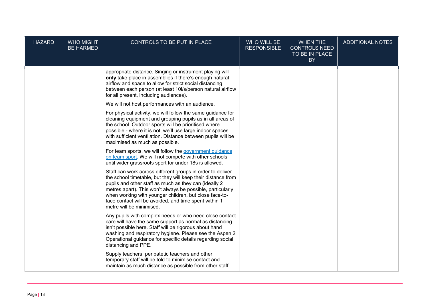| <b>HAZARD</b> | <b>WHO MIGHT</b><br><b>BE HARMED</b> | CONTROLS TO BE PUT IN PLACE                                                                                                                                                                                                                                                                                                                                                                      | WHO WILL BE<br><b>RESPONSIBLE</b> | <b>WHEN THE</b><br><b>CONTROLS NEED</b><br>TO BE IN PLACE<br><b>BY</b> | <b>ADDITIONAL NOTES</b> |
|---------------|--------------------------------------|--------------------------------------------------------------------------------------------------------------------------------------------------------------------------------------------------------------------------------------------------------------------------------------------------------------------------------------------------------------------------------------------------|-----------------------------------|------------------------------------------------------------------------|-------------------------|
|               |                                      | appropriate distance. Singing or instrument playing will<br>only take place in assemblies if there's enough natural<br>airflow and space to allow for strict social distancing<br>between each person (at least 10l/s/person natural airflow<br>for all present, including audiences).                                                                                                           |                                   |                                                                        |                         |
|               |                                      | We will not host performances with an audience.                                                                                                                                                                                                                                                                                                                                                  |                                   |                                                                        |                         |
|               |                                      | For physical activity, we will follow the same guidance for<br>cleaning equipment and grouping pupils as in all areas of<br>the school. Outdoor sports will be prioritised where<br>possible - where it is not, we'll use large indoor spaces<br>with sufficient ventilation. Distance between pupils will be<br>maximised as much as possible.                                                  |                                   |                                                                        |                         |
|               |                                      | For team sports, we will follow the government guidance<br>on team sport. We will not compete with other schools<br>until wider grassroots sport for under 18s is allowed.                                                                                                                                                                                                                       |                                   |                                                                        |                         |
|               |                                      | Staff can work across different groups in order to deliver<br>the school timetable, but they will keep their distance from<br>pupils and other staff as much as they can (ideally 2<br>metres apart). This won't always be possible, particularly<br>when working with younger children, but close face-to-<br>face contact will be avoided, and time spent within 1<br>metre will be minimised. |                                   |                                                                        |                         |
|               |                                      | Any pupils with complex needs or who need close contact<br>care will have the same support as normal as distancing<br>isn't possible here. Staff will be rigorous about hand<br>washing and respiratory hygiene. Please see the Aspen 2<br>Operational guidance for specific details regarding social<br>distancing and PPE.                                                                     |                                   |                                                                        |                         |
|               |                                      | Supply teachers, peripatetic teachers and other<br>temporary staff will be told to minimise contact and<br>maintain as much distance as possible from other staff.                                                                                                                                                                                                                               |                                   |                                                                        |                         |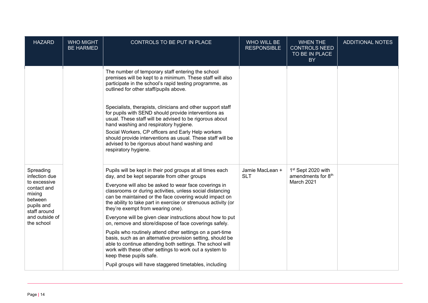| <b>HAZARD</b>                                                                                                                                | <b>WHO MIGHT</b><br><b>BE HARMED</b> | CONTROLS TO BE PUT IN PLACE                                                                                                                                                                                                                                                                                                                                                                                                                                                                                                                                                                                                                                                                                                                                                                                                                                    | WHO WILL BE<br><b>RESPONSIBLE</b> | <b>WHEN THE</b><br><b>CONTROLS NEED</b><br>TO BE IN PLACE<br><b>BY</b> | ADDITIONAL NOTES |
|----------------------------------------------------------------------------------------------------------------------------------------------|--------------------------------------|----------------------------------------------------------------------------------------------------------------------------------------------------------------------------------------------------------------------------------------------------------------------------------------------------------------------------------------------------------------------------------------------------------------------------------------------------------------------------------------------------------------------------------------------------------------------------------------------------------------------------------------------------------------------------------------------------------------------------------------------------------------------------------------------------------------------------------------------------------------|-----------------------------------|------------------------------------------------------------------------|------------------|
|                                                                                                                                              |                                      | The number of temporary staff entering the school<br>premises will be kept to a minimum. These staff will also<br>participate in the school's rapid testing programme, as<br>outlined for other staff/pupils above.<br>Specialists, therapists, clinicians and other support staff<br>for pupils with SEND should provide interventions as<br>usual. These staff will be advised to be rigorous about<br>hand washing and respiratory hygiene.<br>Social Workers, CP officers and Early Help workers<br>should provide interventions as usual. These staff will be<br>advised to be rigorous about hand washing and<br>respiratory hygiene.                                                                                                                                                                                                                    |                                   |                                                                        |                  |
| Spreading<br>infection due<br>to excessive<br>contact and<br>mixing<br>between<br>pupils and<br>staff around<br>and outside of<br>the school |                                      | Pupils will be kept in their pod groups at all times each<br>day, and be kept separate from other groups<br>Everyone will also be asked to wear face coverings in<br>classrooms or during activities, unless social distancing<br>can be maintained or the face covering would impact on<br>the ability to take part in exercise or strenuous activity (or<br>they're exempt from wearing one).<br>Everyone will be given clear instructions about how to put<br>on, remove and store/dispose of face coverings safely.<br>Pupils who routinely attend other settings on a part-time<br>basis, such as an alternative provision setting, should be<br>able to continue attending both settings. The school will<br>work with these other settings to work out a system to<br>keep these pupils safe.<br>Pupil groups will have staggered timetables, including | Jamie MacLean +<br><b>SLT</b>     | 1 <sup>st</sup> Sept 2020 with<br>amendments for 8th<br>March 2021     |                  |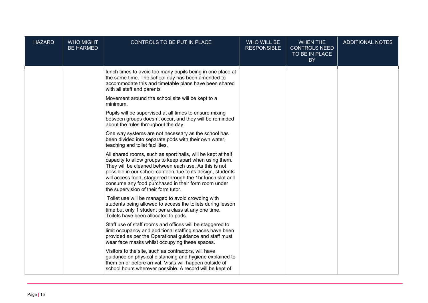| <b>HAZARD</b> | <b>WHO MIGHT</b><br><b>BE HARMED</b> | CONTROLS TO BE PUT IN PLACE                                                                                                                                                                                                                                                                                                                                                                                | WHO WILL BE<br><b>RESPONSIBLE</b> | <b>WHEN THE</b><br><b>CONTROLS NEED</b><br>TO BE IN PLACE<br>BY | <b>ADDITIONAL NOTES</b> |
|---------------|--------------------------------------|------------------------------------------------------------------------------------------------------------------------------------------------------------------------------------------------------------------------------------------------------------------------------------------------------------------------------------------------------------------------------------------------------------|-----------------------------------|-----------------------------------------------------------------|-------------------------|
|               |                                      | lunch times to avoid too many pupils being in one place at<br>the same time. The school day has been amended to<br>accommodate this and timetable plans have been shared<br>with all staff and parents                                                                                                                                                                                                     |                                   |                                                                 |                         |
|               |                                      | Movement around the school site will be kept to a<br>minimum.                                                                                                                                                                                                                                                                                                                                              |                                   |                                                                 |                         |
|               |                                      | Pupils will be supervised at all times to ensure mixing<br>between groups doesn't occur, and they will be reminded<br>about the rules throughout the day.                                                                                                                                                                                                                                                  |                                   |                                                                 |                         |
|               |                                      | One way systems are not necessary as the school has<br>been divided into separate pods with their own water,<br>teaching and toilet facilities.                                                                                                                                                                                                                                                            |                                   |                                                                 |                         |
|               |                                      | All shared rooms, such as sport halls, will be kept at half<br>capacity to allow groups to keep apart when using them.<br>They will be cleaned between each use. As this is not<br>possible in our school canteen due to its design, students<br>will access food, staggered through the 1hr lunch slot and<br>consume any food purchased in their form room under<br>the supervision of their form tutor. |                                   |                                                                 |                         |
|               |                                      | Toilet use will be managed to avoid crowding with<br>students being allowed to access the toilets during lesson<br>time but only 1 student per a class at any one time.<br>Toilets have been allocated to pods.                                                                                                                                                                                            |                                   |                                                                 |                         |
|               |                                      | Staff use of staff rooms and offices will be staggered to<br>limit occupancy and additional staffing spaces have been<br>provided as per the Operational guidance and staff must<br>wear face masks whilst occupying these spaces.                                                                                                                                                                         |                                   |                                                                 |                         |
|               |                                      | Visitors to the site, such as contractors, will have<br>guidance on physical distancing and hygiene explained to<br>them on or before arrival. Visits will happen outside of<br>school hours wherever possible. A record will be kept of                                                                                                                                                                   |                                   |                                                                 |                         |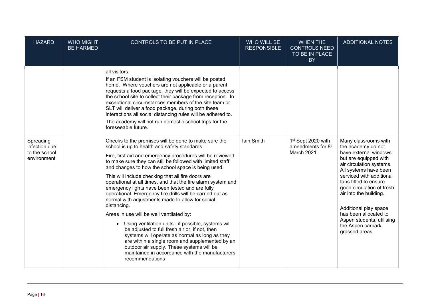| <b>HAZARD</b>                                              | <b>WHO MIGHT</b><br><b>BE HARMED</b> | CONTROLS TO BE PUT IN PLACE                                                                                                                                                                                                                                                                                                                                                                                                                                                                                                                                                                                                                                                                                                                                                                                                                                                                                                                                                               | WHO WILL BE<br><b>RESPONSIBLE</b> | <b>WHEN THE</b><br><b>CONTROLS NEED</b><br>TO BE IN PLACE<br><b>BY</b>         | <b>ADDITIONAL NOTES</b>                                                                                                                                                                                                                                                                                                                                                             |
|------------------------------------------------------------|--------------------------------------|-------------------------------------------------------------------------------------------------------------------------------------------------------------------------------------------------------------------------------------------------------------------------------------------------------------------------------------------------------------------------------------------------------------------------------------------------------------------------------------------------------------------------------------------------------------------------------------------------------------------------------------------------------------------------------------------------------------------------------------------------------------------------------------------------------------------------------------------------------------------------------------------------------------------------------------------------------------------------------------------|-----------------------------------|--------------------------------------------------------------------------------|-------------------------------------------------------------------------------------------------------------------------------------------------------------------------------------------------------------------------------------------------------------------------------------------------------------------------------------------------------------------------------------|
|                                                            |                                      | all visitors.<br>If an FSM student is isolating vouchers will be posted<br>home. Where vouchers are not applicable or a parent<br>requests a food package, they will be expected to access<br>the school site to collect their package from reception. In<br>exceptional circumstances members of the site team or<br>SLT will deliver a food package, during both these<br>interactions all social distancing rules will be adhered to.<br>The academy will not run domestic school trips for the<br>foreseeable future.                                                                                                                                                                                                                                                                                                                                                                                                                                                                 |                                   |                                                                                |                                                                                                                                                                                                                                                                                                                                                                                     |
| Spreading<br>infection due<br>to the school<br>environment |                                      | Checks to the premises will be done to make sure the<br>school is up to health and safety standards.<br>Fire, first aid and emergency procedures will be reviewed<br>to make sure they can still be followed with limited staff<br>and changes to how the school space is being used.<br>This will include checking that all fire doors are<br>operational at all times, and that the fire alarm system and<br>emergency lights have been tested and are fully<br>operational. Emergency fire drills will be carried out as<br>normal with adjustments made to allow for social<br>distancing.<br>Areas in use will be well ventilated by:<br>Using ventilation units - if possible, systems will<br>$\bullet$<br>be adjusted to full fresh air or, if not, then<br>systems will operate as normal as long as they<br>are within a single room and supplemented by an<br>outdoor air supply. These systems will be<br>maintained in accordance with the manufacturers'<br>recommendations | <b>lain Smith</b>                 | 1 <sup>st</sup> Sept 2020 with<br>amendments for 8 <sup>th</sup><br>March 2021 | Many classrooms with<br>the academy do not<br>have external windows<br>but are equipped with<br>air circulation systems.<br>All systems have been<br>serviced with additional<br>fans fitted to ensure<br>good circulation of fresh<br>air into the building.<br>Additional play space<br>has been allocated to<br>Aspen students, utilising<br>the Aspen carpark<br>grassed areas. |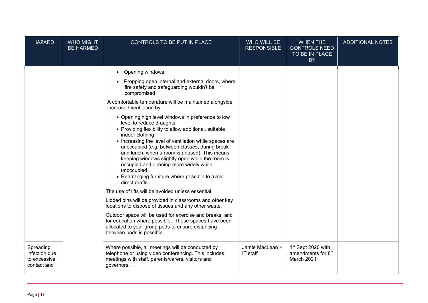| <b>HAZARD</b>                                             | <b>WHO MIGHT</b><br><b>BE HARMED</b> | CONTROLS TO BE PUT IN PLACE                                                                                                                                                                                                                                                                                                                                                                                                                                                                                                                                                                                                                                                                                                                                                                                                                                                                                                                                                                                                                                                                                                | WHO WILL BE<br><b>RESPONSIBLE</b> | <b>WHEN THE</b><br><b>CONTROLS NEED</b><br>TO BE IN PLACE<br><b>BY</b> | <b>ADDITIONAL NOTES</b> |
|-----------------------------------------------------------|--------------------------------------|----------------------------------------------------------------------------------------------------------------------------------------------------------------------------------------------------------------------------------------------------------------------------------------------------------------------------------------------------------------------------------------------------------------------------------------------------------------------------------------------------------------------------------------------------------------------------------------------------------------------------------------------------------------------------------------------------------------------------------------------------------------------------------------------------------------------------------------------------------------------------------------------------------------------------------------------------------------------------------------------------------------------------------------------------------------------------------------------------------------------------|-----------------------------------|------------------------------------------------------------------------|-------------------------|
|                                                           |                                      | Opening windows<br>$\bullet$<br>Propping open internal and external doors, where<br>fire safety and safeguarding wouldn't be<br>compromised<br>A comfortable temperature will be maintained alongside<br>increased ventilation by:<br>• Opening high level windows in preference to low<br>level to reduce draughts<br>• Providing flexibility to allow additional, suitable<br>indoor clothing<br>• Increasing the level of ventilation while spaces are<br>unoccupied (e.g. between classes, during break<br>and lunch, when a room is unused). This means<br>keeping windows slightly open while the room is<br>occupied and opening more widely while<br>unoccupied<br>• Rearranging furniture where possible to avoid<br>direct drafts<br>The use of lifts will be avoided unless essential.<br>Lidded bins will be provided in classrooms and other key<br>locations to dispose of tissues and any other waste.<br>Outdoor space will be used for exercise and breaks, and<br>for education where possible. These spaces have been<br>allocated to year group pods to ensure distancing<br>between pods is possible. |                                   |                                                                        |                         |
| Spreading<br>infection due<br>to excessive<br>contact and |                                      | Where possible, all meetings will be conducted by<br>telephone or using video conferencing. This includes<br>meetings with staff, parents/carers, visitors and<br>governors.                                                                                                                                                                                                                                                                                                                                                                                                                                                                                                                                                                                                                                                                                                                                                                                                                                                                                                                                               | Jamie MacLean +<br>IT staff       | 1st Sept 2020 with<br>amendments for 8 <sup>th</sup><br>March 2021     |                         |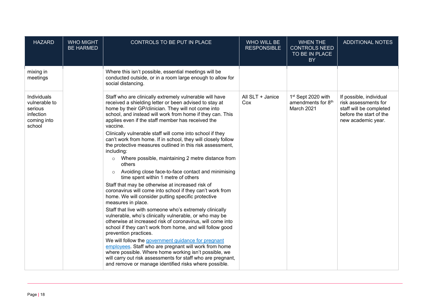| <b>HAZARD</b>                                                                 | <b>WHO MIGHT</b><br><b>BE HARMED</b> | CONTROLS TO BE PUT IN PLACE                                                                                                                                                                                                                                                                                                                                                                                                                                                                                                                                                                                                                                                                                                                                                                                                                                                                                                                                                                                                                                                                                                                                                                                                                                                                                                                                                                                                                                             | WHO WILL BE<br><b>RESPONSIBLE</b> | <b>WHEN THE</b><br><b>CONTROLS NEED</b><br>TO BE IN PLACE<br><b>BY</b>         | <b>ADDITIONAL NOTES</b>                                                                                                     |
|-------------------------------------------------------------------------------|--------------------------------------|-------------------------------------------------------------------------------------------------------------------------------------------------------------------------------------------------------------------------------------------------------------------------------------------------------------------------------------------------------------------------------------------------------------------------------------------------------------------------------------------------------------------------------------------------------------------------------------------------------------------------------------------------------------------------------------------------------------------------------------------------------------------------------------------------------------------------------------------------------------------------------------------------------------------------------------------------------------------------------------------------------------------------------------------------------------------------------------------------------------------------------------------------------------------------------------------------------------------------------------------------------------------------------------------------------------------------------------------------------------------------------------------------------------------------------------------------------------------------|-----------------------------------|--------------------------------------------------------------------------------|-----------------------------------------------------------------------------------------------------------------------------|
| mixing in<br>meetings                                                         |                                      | Where this isn't possible, essential meetings will be<br>conducted outside, or in a room large enough to allow for<br>social distancing.                                                                                                                                                                                                                                                                                                                                                                                                                                                                                                                                                                                                                                                                                                                                                                                                                                                                                                                                                                                                                                                                                                                                                                                                                                                                                                                                |                                   |                                                                                |                                                                                                                             |
| Individuals<br>vulnerable to<br>serious<br>infection<br>coming into<br>school |                                      | Staff who are clinically extremely vulnerable will have<br>received a shielding letter or been advised to stay at<br>home by their GP/clinician. They will not come into<br>school, and instead will work from home if they can. This<br>applies even if the staff member has received the<br>vaccine.<br>Clinically vulnerable staff will come into school if they<br>can't work from home. If in school, they will closely follow<br>the protective measures outlined in this risk assessment,<br>including:<br>Where possible, maintaining 2 metre distance from<br>$\circ$<br>others<br>Avoiding close face-to-face contact and minimising<br>$\circ$<br>time spent within 1 metre of others<br>Staff that may be otherwise at increased risk of<br>coronavirus will come into school if they can't work from<br>home. We will consider putting specific protective<br>measures in place.<br>Staff that live with someone who's extremely clinically<br>vulnerable, who's clinically vulnerable, or who may be<br>otherwise at increased risk of coronavirus, will come into<br>school if they can't work from home, and will follow good<br>prevention practices.<br>We will follow the government guidance for pregnant<br>employees. Staff who are pregnant will work from home<br>where possible. Where home working isn't possible, we<br>will carry out risk assessments for staff who are pregnant,<br>and remove or manage identified risks where possible. | All SLT + Janice<br>Cox           | 1 <sup>st</sup> Sept 2020 with<br>amendments for 8 <sup>th</sup><br>March 2021 | If possible, individual<br>risk assessments for<br>staff will be completed<br>before the start of the<br>new academic year. |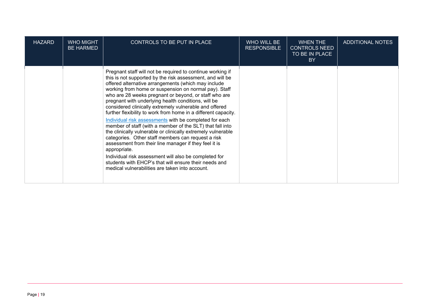| <b>HAZARD</b> | <b>WHO MIGHT</b><br><b>BE HARMED</b> | CONTROLS TO BE PUT IN PLACE                                                                                                                                                                                                                                                                                                                                                                                                                                                                                                                                                                                                                                                                                                                                                                                                                                                                                                                                                    | WHO WILL BE<br><b>RESPONSIBLE</b> | <b>WHEN THE</b><br><b>CONTROLS NEED</b><br>TO BE IN PLACE<br><b>BY</b> | ADDITIONAL NOTES |
|---------------|--------------------------------------|--------------------------------------------------------------------------------------------------------------------------------------------------------------------------------------------------------------------------------------------------------------------------------------------------------------------------------------------------------------------------------------------------------------------------------------------------------------------------------------------------------------------------------------------------------------------------------------------------------------------------------------------------------------------------------------------------------------------------------------------------------------------------------------------------------------------------------------------------------------------------------------------------------------------------------------------------------------------------------|-----------------------------------|------------------------------------------------------------------------|------------------|
|               |                                      | Pregnant staff will not be required to continue working if<br>this is not supported by the risk assessment, and will be<br>offered alternative arrangements (which may include<br>working from home or suspension on normal pay). Staff<br>who are 28 weeks pregnant or beyond, or staff who are<br>pregnant with underlying health conditions, will be<br>considered clinically extremely vulnerable and offered<br>further flexibility to work from home in a different capacity.<br>Individual risk assessments with be completed for each<br>member of staff (with a member of the SLT) that fall into<br>the clinically vulnerable or clinically extremely vulnerable<br>categories. Other staff members can request a risk<br>assessment from their line manager if they feel it is<br>appropriate.<br>Individual risk assessment will also be completed for<br>students with EHCP's that will ensure their needs and<br>medical vulnerabilities are taken into account. |                                   |                                                                        |                  |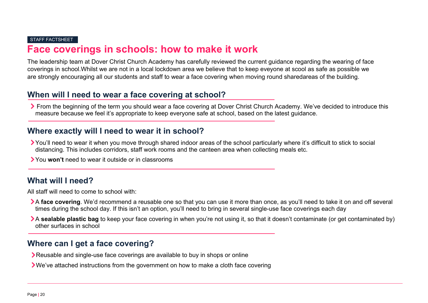#### STAFF FACTSHEET

## **Face coverings in schools: how to make it work**

The leadership team at Dover Christ Church Academy has carefully reviewed the current guidance regarding the wearing of face coverings in school.Whilst we are not in a local lockdown area we believe that to keep eveyone at scool as safe as possible we are strongly encouraging all our students and staff to wear a face covering when moving round sharedareas of the building.

## **When will I need to wear a face covering at school?**

▶ From the beginning of the term you should wear a face covering at Dover Christ Church Academy. We've decided to introduce this measure because we feel it's appropriate to keep everyone safe at school, based on the latest guidance.

## **Where exactly will I need to wear it in school?**

- You'll need to wear it when you move through shared indoor areas of the school particularly where it's difficult to stick to social distancing. This includes corridors, staff work rooms and the canteen area when collecting meals etc.
- You **won't** need to wear it outside or in classrooms

## **What will I need?**

All staff will need to come to school with:

- A face covering. We'd recommend a reusable one so that you can use it more than once, as you'll need to take it on and off several times during the school day. If this isn't an option, you'll need to bring in several single-use face coverings each day
- A **sealable plastic bag** to keep your face covering in when you're not using it, so that it doesn't contaminate (or get contaminated by) other surfaces in school

## **Where can I get a face covering?**

- Reusable and single-use face coverings are available to buy in shops or online
- We've attached instructions from the government on how to make a cloth face covering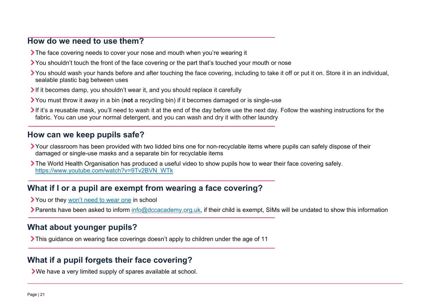## **How do we need to use them?**

- If The face covering needs to cover your nose and mouth when you're wearing it
- You shouldn't touch the front of the face covering or the part that's touched your mouth or nose
- You should wash your hands before and after touching the face covering, including to take it off or put it on. Store it in an individual, sealable plastic bag between uses
- If it becomes damp, you shouldn't wear it, and you should replace it carefully
- You must throw it away in a bin (**not** a recycling bin) if it becomes damaged or is single-use
- If it's a reusable mask, you'll need to wash it at the end of the day before use the next day. Follow the washing instructions for the fabric. You can use your normal detergent, and you can wash and dry it with other laundry

## **How can we keep pupils safe?**

- Your classroom has been provided with two lidded bins one for non-recyclable items where pupils can safely dispose of their damaged or single-use masks and a separate bin for recyclable items
- The World Health Organisation has produced a useful video to show pupils how to wear their face covering safely. [https://www.youtube.com/watch?v=9Tv2BVN\\_WTk](https://www.youtube.com/watch?v=9Tv2BVN_WTk)

## **What if I or a pupil are exempt from wearing a face covering?**

- You or they [won't need to wear one](https://www.gov.uk/government/publications/face-coverings-when-to-wear-one-and-how-to-make-your-own/face-coverings-when-to-wear-one-and-how-to-make-your-own#when-you-do-not-need-to-wear-a-face-covering) in school
- Parents have been asked to inform [info@dccacademy.org.uk,](mailto:info@dccacademy.org.uk) if their child is exempt, SIMs will be undated to show this information

## **What about younger pupils?**

This guidance on wearing face coverings doesn't apply to children under the age of 11

## **What if a pupil forgets their face covering?**

We have a very limited supply of spares available at school.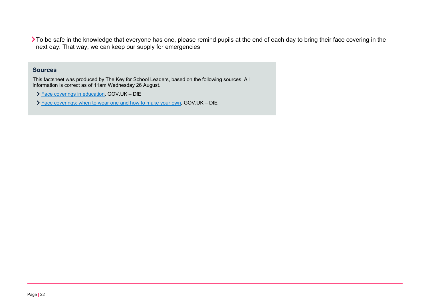To be safe in the knowledge that everyone has one, please remind pupils at the end of each day to bring their face covering in the next day. That way, we can keep our supply for emergencies

#### **Sources**

This factsheet was produced by The Key for School Leaders, based on the following sources. All information is correct as of 11am Wednesday 26 August.

- [Face coverings in education,](https://www.gov.uk/government/publications/face-coverings-in-education/face-coverings-in-education) GOV.UK DfE
- [Face coverings: when to wear one and how to make your own,](https://www.gov.uk/government/publications/face-coverings-when-to-wear-one-and-how-to-make-your-own/face-coverings-when-to-wear-one-and-how-to-make-your-own#making-your-own-face-covering) GOV.UK DfE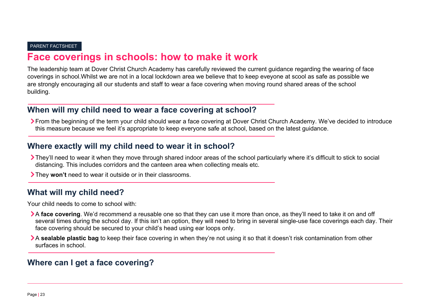#### PARENT FACTSHEET

## **Face coverings in schools: how to make it work**

The leadership team at Dover Christ Church Academy has carefully reviewed the current guidance regarding the wearing of face coverings in school.Whilst we are not in a local lockdown area we believe that to keep eveyone at scool as safe as possible we are strongly encouraging all our students and staff to wear a face covering when moving round shared areas of the school building.

## **When will my child need to wear a face covering at school?**

▶ From the beginning of the term your child should wear a face covering at Dover Christ Church Academy. We've decided to introduce this measure because we feel it's appropriate to keep everyone safe at school, based on the latest guidance.

### **Where exactly will my child need to wear it in school?**

- They'll need to wear it when they move through shared indoor areas of the school particularly where it's difficult to stick to social distancing. This includes corridors and the canteen area when collecting meals etc.
- They **won't** need to wear it outside or in their classrooms.

### **What will my child need?**

Your child needs to come to school with:

- A **face covering**. We'd recommend a reusable one so that they can use it more than once, as they'll need to take it on and off several times during the school day. If this isn't an option, they will need to bring in several single-use face coverings each day. Their face covering should be secured to your child's head using ear loops only.
- A **sealable plastic bag** to keep their face covering in when they're not using it so that it doesn't risk contamination from other surfaces in school.

## **Where can I get a face covering?**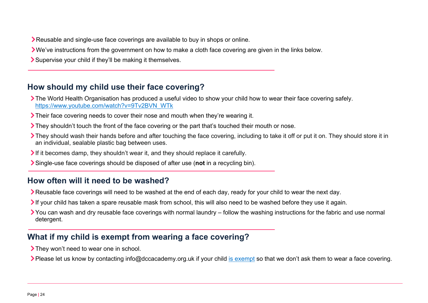Reusable and single-use face coverings are available to buy in shops or online.

- We've instructions from the government on how to make a cloth face covering are given in the links below.
- Supervise your child if they'll be making it themselves.

## **How should my child use their face covering?**

- The World Health Organisation has produced a useful video to show your child how to wear their face covering safely. [https://www.youtube.com/watch?v=9Tv2BVN\\_WTk](https://www.youtube.com/watch?v=9Tv2BVN_WTk)
- Their face covering needs to cover their nose and mouth when they're wearing it.
- They shouldn't touch the front of the face covering or the part that's touched their mouth or nose.
- They should wash their hands before and after touching the face covering, including to take it off or put it on. They should store it in an individual, sealable plastic bag between uses.
- If it becomes damp, they shouldn't wear it, and they should replace it carefully.
- Single-use face coverings should be disposed of after use (**not** in a recycling bin).

## **How often will it need to be washed?**

- Reusable face coverings will need to be washed at the end of each day, ready for your child to wear the next day.
- If your child has taken a spare reusable mask from school, this will also need to be washed before they use it again.
- You can wash and dry reusable face coverings with normal laundry follow the washing instructions for the fabric and use normal detergent.

## **What if my child is exempt from wearing a face covering?**

- They won't need to wear one in school.
- Please let us know by contacting info@dccacademy.org.uk if your child [is exempt](https://www.gov.uk/government/publications/face-coverings-when-to-wear-one-and-how-to-make-your-own/face-coverings-when-to-wear-one-and-how-to-make-your-own#when-you-do-not-need-to-wear-a-face-covering) so that we don't ask them to wear a face covering.